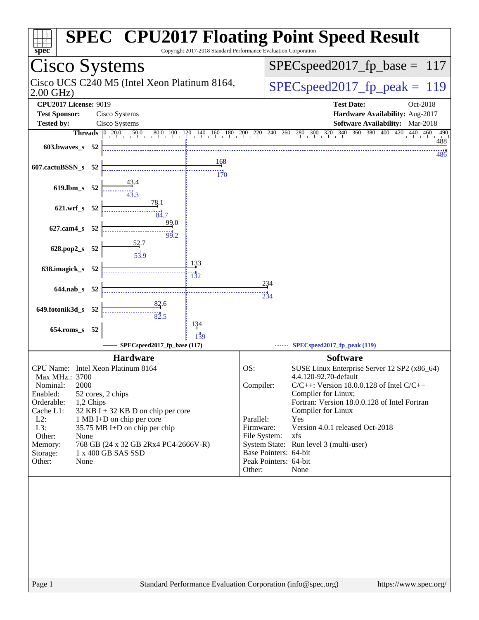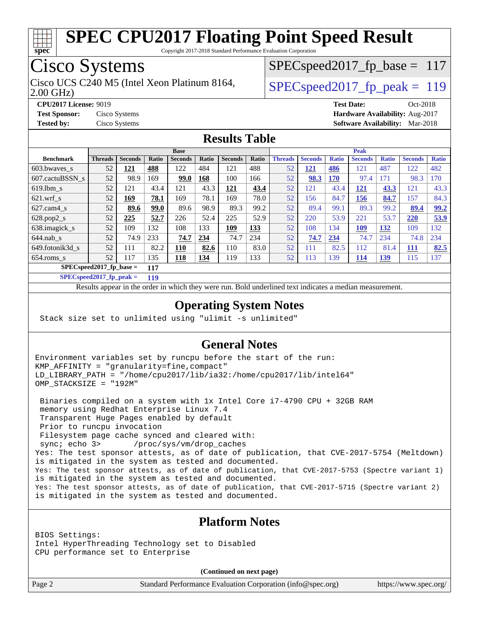

Copyright 2017-2018 Standard Performance Evaluation Corporation

## Cisco Systems

2.00 GHz) Cisco UCS C240 M5 (Intel Xeon Platinum 8164,  $\vert$  SPECspeed2017 fp\_peak = 119

SPECspeed2017 fp base =  $117$ 

**[CPU2017 License:](http://www.spec.org/auto/cpu2017/Docs/result-fields.html#CPU2017License)** 9019 **[Test Date:](http://www.spec.org/auto/cpu2017/Docs/result-fields.html#TestDate)** Oct-2018 **[Test Sponsor:](http://www.spec.org/auto/cpu2017/Docs/result-fields.html#TestSponsor)** Cisco Systems **[Hardware Availability:](http://www.spec.org/auto/cpu2017/Docs/result-fields.html#HardwareAvailability)** Aug-2017 **[Tested by:](http://www.spec.org/auto/cpu2017/Docs/result-fields.html#Testedby)** Cisco Systems **[Software Availability:](http://www.spec.org/auto/cpu2017/Docs/result-fields.html#SoftwareAvailability)** Mar-2018

#### **[Results Table](http://www.spec.org/auto/cpu2017/Docs/result-fields.html#ResultsTable)**

|                                   | <b>Base</b>    |                |              |                |              | <b>Peak</b>    |       |                |                |              |                |              |                |              |
|-----------------------------------|----------------|----------------|--------------|----------------|--------------|----------------|-------|----------------|----------------|--------------|----------------|--------------|----------------|--------------|
| <b>Benchmark</b>                  | <b>Threads</b> | <b>Seconds</b> | <b>Ratio</b> | <b>Seconds</b> | <b>Ratio</b> | <b>Seconds</b> | Ratio | <b>Threads</b> | <b>Seconds</b> | <b>Ratio</b> | <b>Seconds</b> | <b>Ratio</b> | <b>Seconds</b> | <b>Ratio</b> |
| $603.bwaves$ s                    | 52             | 121            | 488          | 122            | 484          | 121            | 488   | 52             | <u>121</u>     | 486          | 121            | 487          | 122            | 482          |
| 607.cactuBSSN s                   | 52             | 98.9           | 169          | 99.0           | 168          | 100            | 166   | 52             | 98.3           | <b>170</b>   | 97.4           | 171          | 98.3           | 170          |
| $619.1$ bm s                      | 52             | 121            | 43.4         | 121            | 43.3         | 121            | 43.4  | 52             | 121            | 43.4         | 121            | 43.3         | 121            | 43.3         |
| $621$ .wrf s                      | 52             | 169            | 78.1         | 169            | 78.1         | 169            | 78.0  | 52             | 156            | 84.7         | 156            | 84.7         | 157            | 84.3         |
| $627$ .cam $4 \text{ s}$          | 52             | 89.6           | 99.0         | 89.6           | 98.9         | 89.3           | 99.2  | 52             | 89.4           | 99.1         | 89.3           | 99.2         | 89.4           | 99.2         |
| $628.pop2_s$                      | 52             | 225            | 52.7         | 226            | 52.4         | 225            | 52.9  | 52             | 220            | 53.9         | 221            | 53.7         | 220            | 53.9         |
| 638.imagick_s                     | 52             | 109            | 132          | 108            | 133          | 109            | 133   | 52             | 108            | 134          | 109            | 132          | 109            | 132          |
| $644$ .nab s                      | 52             | 74.9           | 233          | 74.7           | 234          | 74.7           | 234   | 52             | 74.7           | 234          | 74.7           | 234          | 74.8           | 234          |
| 649.fotonik3d s                   | 52             | 111            | 82.2         | 110            | 82.6         | 110            | 83.0  | 52             | 111            | 82.5         | 112            | 81.4         | 111            | 82.5         |
| $654$ .roms s                     | 52             | 117            | 135          | <u>118</u>     | <u>134</u>   | 119            | 133   | 52             | 113            | 139          | <u>114</u>     | <u>139</u>   | 115            | 137          |
| $SPEC speed2017$ fp base =<br>117 |                |                |              |                |              |                |       |                |                |              |                |              |                |              |

**[SPECspeed2017\\_fp\\_peak =](http://www.spec.org/auto/cpu2017/Docs/result-fields.html#SPECspeed2017fppeak) 119**

Results appear in the [order in which they were run.](http://www.spec.org/auto/cpu2017/Docs/result-fields.html#RunOrder) Bold underlined text [indicates a median measurement](http://www.spec.org/auto/cpu2017/Docs/result-fields.html#Median).

#### **[Operating System Notes](http://www.spec.org/auto/cpu2017/Docs/result-fields.html#OperatingSystemNotes)**

Stack size set to unlimited using "ulimit -s unlimited"

#### **[General Notes](http://www.spec.org/auto/cpu2017/Docs/result-fields.html#GeneralNotes)**

Environment variables set by runcpu before the start of the run: KMP\_AFFINITY = "granularity=fine,compact" LD\_LIBRARY\_PATH = "/home/cpu2017/lib/ia32:/home/cpu2017/lib/intel64" OMP STACKSIZE = "192M"

 Binaries compiled on a system with 1x Intel Core i7-4790 CPU + 32GB RAM memory using Redhat Enterprise Linux 7.4 Transparent Huge Pages enabled by default Prior to runcpu invocation Filesystem page cache synced and cleared with: sync; echo 3> /proc/sys/vm/drop\_caches Yes: The test sponsor attests, as of date of publication, that CVE-2017-5754 (Meltdown) is mitigated in the system as tested and documented. Yes: The test sponsor attests, as of date of publication, that CVE-2017-5753 (Spectre variant 1) is mitigated in the system as tested and documented. Yes: The test sponsor attests, as of date of publication, that CVE-2017-5715 (Spectre variant 2) is mitigated in the system as tested and documented.

#### **[Platform Notes](http://www.spec.org/auto/cpu2017/Docs/result-fields.html#PlatformNotes)**

BIOS Settings: Intel HyperThreading Technology set to Disabled CPU performance set to Enterprise

**(Continued on next page)**

Page 2 Standard Performance Evaluation Corporation [\(info@spec.org\)](mailto:info@spec.org) <https://www.spec.org/>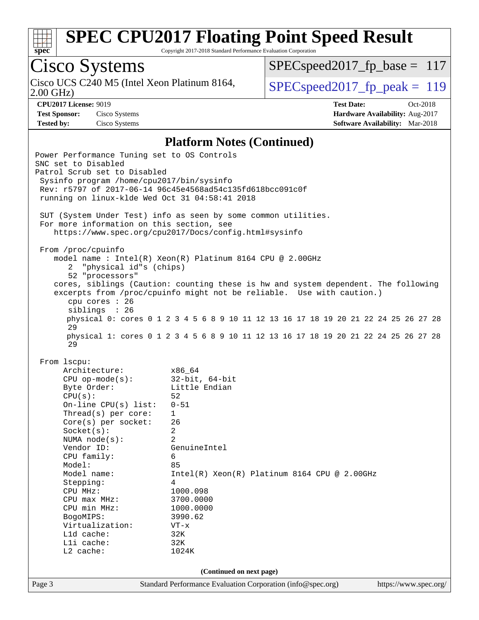

Copyright 2017-2018 Standard Performance Evaluation Corporation

## Cisco Systems

2.00 GHz) Cisco UCS C240 M5 (Intel Xeon Platinum 8164,  $\boxed{\text{SPEC speed2017\_fp\_peak = 119}}$ 

[SPECspeed2017\\_fp\\_base =](http://www.spec.org/auto/cpu2017/Docs/result-fields.html#SPECspeed2017fpbase) 117

**[CPU2017 License:](http://www.spec.org/auto/cpu2017/Docs/result-fields.html#CPU2017License)** 9019 **[Test Date:](http://www.spec.org/auto/cpu2017/Docs/result-fields.html#TestDate)** Oct-2018 **[Test Sponsor:](http://www.spec.org/auto/cpu2017/Docs/result-fields.html#TestSponsor)** Cisco Systems **[Hardware Availability:](http://www.spec.org/auto/cpu2017/Docs/result-fields.html#HardwareAvailability)** Aug-2017 **[Tested by:](http://www.spec.org/auto/cpu2017/Docs/result-fields.html#Testedby)** Cisco Systems **[Software Availability:](http://www.spec.org/auto/cpu2017/Docs/result-fields.html#SoftwareAvailability)** Mar-2018

#### **[Platform Notes \(Continued\)](http://www.spec.org/auto/cpu2017/Docs/result-fields.html#PlatformNotes)**

| Power Performance Tuning set to OS Controls<br>SNC set to Disabled<br>Patrol Scrub set to Disabled<br>Sysinfo program /home/cpu2017/bin/sysinfo<br>running on linux-klde Wed Oct 31 04:58:41 2018                                                                                                                                                                                               | Rev: r5797 of 2017-06-14 96c45e4568ad54c135fd618bcc091c0f                                                                                                                                                                                                                                                                                                                                              |                       |  |  |  |
|-------------------------------------------------------------------------------------------------------------------------------------------------------------------------------------------------------------------------------------------------------------------------------------------------------------------------------------------------------------------------------------------------|--------------------------------------------------------------------------------------------------------------------------------------------------------------------------------------------------------------------------------------------------------------------------------------------------------------------------------------------------------------------------------------------------------|-----------------------|--|--|--|
| SUT (System Under Test) info as seen by some common utilities.<br>For more information on this section, see<br>https://www.spec.org/cpu2017/Docs/config.html#sysinfo                                                                                                                                                                                                                            |                                                                                                                                                                                                                                                                                                                                                                                                        |                       |  |  |  |
| From /proc/cpuinfo<br>"physical id"s (chips)<br>2<br>52 "processors"<br>cpu cores : 26<br>siblings : 26<br>29                                                                                                                                                                                                                                                                                   | model name : Intel(R) Xeon(R) Platinum 8164 CPU @ 2.00GHz<br>cores, siblings (Caution: counting these is hw and system dependent. The following<br>excerpts from /proc/cpuinfo might not be reliable. Use with caution.)<br>physical 0: cores 0 1 2 3 4 5 6 8 9 10 11 12 13 16 17 18 19 20 21 22 24 25 26 27 28<br>physical 1: cores 0 1 2 3 4 5 6 8 9 10 11 12 13 16 17 18 19 20 21 22 24 25 26 27 28 |                       |  |  |  |
| 29<br>From 1scpu:<br>Architecture:<br>$CPU op-mode(s):$<br>Byte Order:<br>CPU(s):<br>On-line $CPU(s)$ list:<br>Thread( $s$ ) per core:<br>$Core(s)$ per socket:<br>Socket(s):<br>NUMA $node(s):$<br>Vendor ID:<br>CPU family:<br>Model:<br>Model name:<br>Stepping:<br>CPU MHz:<br>$CPU$ $max$ $MHz$ :<br>CPU min MHz:<br>BogoMIPS:<br>Virtualization:<br>Lld cache:<br>Lli cache:<br>L2 cache: | x86 64<br>$32$ -bit, $64$ -bit<br>Little Endian<br>52<br>$0 - 51$<br>$\mathbf{1}$<br>26<br>2<br>2<br>GenuineIntel<br>6<br>85<br>$Intel(R)$ Xeon $(R)$ Platinum 8164 CPU @ 2.00GHz<br>4<br>1000.098<br>3700.0000<br>1000.0000<br>3990.62<br>$VT - x$<br>32K<br>32K<br>1024K<br>(Continued on next page)                                                                                                 |                       |  |  |  |
| Page 3                                                                                                                                                                                                                                                                                                                                                                                          | Standard Performance Evaluation Corporation (info@spec.org)                                                                                                                                                                                                                                                                                                                                            | https://www.spec.org/ |  |  |  |
|                                                                                                                                                                                                                                                                                                                                                                                                 |                                                                                                                                                                                                                                                                                                                                                                                                        |                       |  |  |  |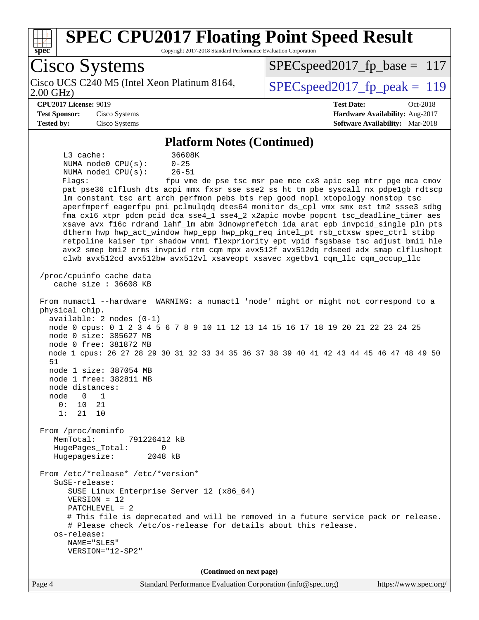

Copyright 2017-2018 Standard Performance Evaluation Corporation

Cisco Systems Cisco UCS C240 M5 (Intel Xeon Platinum 8164,<br>2.00 GHz) SPECspeed2017 fp peak =  $119$  $SPEC speed2017_fp\_base = 117$ **[CPU2017 License:](http://www.spec.org/auto/cpu2017/Docs/result-fields.html#CPU2017License)** 9019 **[Test Date:](http://www.spec.org/auto/cpu2017/Docs/result-fields.html#TestDate)** Oct-2018 **[Test Sponsor:](http://www.spec.org/auto/cpu2017/Docs/result-fields.html#TestSponsor)** Cisco Systems **[Hardware Availability:](http://www.spec.org/auto/cpu2017/Docs/result-fields.html#HardwareAvailability)** Aug-2017 **[Tested by:](http://www.spec.org/auto/cpu2017/Docs/result-fields.html#Testedby)** Cisco Systems **[Software Availability:](http://www.spec.org/auto/cpu2017/Docs/result-fields.html#SoftwareAvailability)** Mar-2018 **[Platform Notes \(Continued\)](http://www.spec.org/auto/cpu2017/Docs/result-fields.html#PlatformNotes)** L3 cache: 36608K NUMA node0 CPU(s): 0-25 NUMA node1 CPU(s): 26-51 Flags: fpu vme de pse tsc msr pae mce cx8 apic sep mtrr pge mca cmov pat pse36 clflush dts acpi mmx fxsr sse sse2 ss ht tm pbe syscall nx pdpe1gb rdtscp lm constant tsc art arch perfmon pebs bts rep good nopl xtopology nonstop tsc aperfmperf eagerfpu pni pclmulqdq dtes64 monitor ds\_cpl vmx smx est tm2 ssse3 sdbg fma cx16 xtpr pdcm pcid dca sse4\_1 sse4\_2 x2apic movbe popcnt tsc\_deadline\_timer aes xsave avx f16c rdrand lahf\_lm abm 3dnowprefetch ida arat epb invpcid\_single pln pts dtherm hwp hwp\_act\_window hwp\_epp hwp\_pkg\_req intel\_pt rsb\_ctxsw spec\_ctrl stibp retpoline kaiser tpr\_shadow vnmi flexpriority ept vpid fsgsbase tsc\_adjust bmi1 hle avx2 smep bmi2 erms invpcid rtm cqm mpx avx512f avx512dq rdseed adx smap clflushopt clwb avx512cd avx512bw avx512vl xsaveopt xsavec xgetbv1 cqm\_llc cqm\_occup\_llc /proc/cpuinfo cache data cache size : 36608 KB From numactl --hardware WARNING: a numactl 'node' might or might not correspond to a physical chip. available: 2 nodes (0-1) node 0 cpus: 0 1 2 3 4 5 6 7 8 9 10 11 12 13 14 15 16 17 18 19 20 21 22 23 24 25 node 0 size: 385627 MB node 0 free: 381872 MB node 1 cpus: 26 27 28 29 30 31 32 33 34 35 36 37 38 39 40 41 42 43 44 45 46 47 48 49 50 51 node 1 size: 387054 MB node 1 free: 382811 MB node distances: node 0 1 0: 10 21 1: 21 10 From /proc/meminfo MemTotal: 791226412 kB HugePages\_Total: 0 Hugepagesize: 2048 kB From /etc/\*release\* /etc/\*version\* SuSE-release: SUSE Linux Enterprise Server 12 (x86\_64) VERSION = 12 PATCHLEVEL = 2 # This file is deprecated and will be removed in a future service pack or release. # Please check /etc/os-release for details about this release. os-release: NAME="SLES" VERSION="12-SP2" **(Continued on next page)**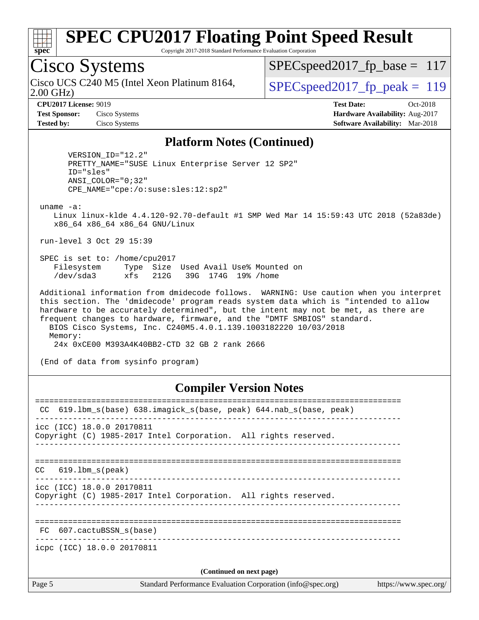

Copyright 2017-2018 Standard Performance Evaluation Corporation

## Cisco Systems

2.00 GHz) Cisco UCS C240 M5 (Intel Xeon Platinum 8164,  $\vert$  [SPECspeed2017\\_fp\\_peak =](http://www.spec.org/auto/cpu2017/Docs/result-fields.html#SPECspeed2017fppeak) 119

 $SPEC speed2017_fp\_base = 117$ 

**[CPU2017 License:](http://www.spec.org/auto/cpu2017/Docs/result-fields.html#CPU2017License)** 9019 **[Test Date:](http://www.spec.org/auto/cpu2017/Docs/result-fields.html#TestDate)** Oct-2018 **[Test Sponsor:](http://www.spec.org/auto/cpu2017/Docs/result-fields.html#TestSponsor)** Cisco Systems **[Hardware Availability:](http://www.spec.org/auto/cpu2017/Docs/result-fields.html#HardwareAvailability)** Aug-2017 **[Tested by:](http://www.spec.org/auto/cpu2017/Docs/result-fields.html#Testedby)** Cisco Systems **[Software Availability:](http://www.spec.org/auto/cpu2017/Docs/result-fields.html#SoftwareAvailability)** Mar-2018

#### **[Platform Notes \(Continued\)](http://www.spec.org/auto/cpu2017/Docs/result-fields.html#PlatformNotes)**

 VERSION\_ID="12.2" PRETTY\_NAME="SUSE Linux Enterprise Server 12 SP2" ID="sles" ANSI\_COLOR="0;32" CPE\_NAME="cpe:/o:suse:sles:12:sp2"

uname -a:

 Linux linux-klde 4.4.120-92.70-default #1 SMP Wed Mar 14 15:59:43 UTC 2018 (52a83de) x86\_64 x86\_64 x86\_64 GNU/Linux

run-level 3 Oct 29 15:39

 SPEC is set to: /home/cpu2017 Filesystem Type Size Used Avail Use% Mounted on /dev/sda3 xfs 212G 39G 174G 19% /home

 Additional information from dmidecode follows. WARNING: Use caution when you interpret this section. The 'dmidecode' program reads system data which is "intended to allow hardware to be accurately determined", but the intent may not be met, as there are frequent changes to hardware, firmware, and the "DMTF SMBIOS" standard. BIOS Cisco Systems, Inc. C240M5.4.0.1.139.1003182220 10/03/2018 Memory:

24x 0xCE00 M393A4K40BB2-CTD 32 GB 2 rank 2666

(End of data from sysinfo program)

#### **[Compiler Version Notes](http://www.spec.org/auto/cpu2017/Docs/result-fields.html#CompilerVersionNotes)**

| CC.    | 619.1bm_s(base) 638.imagick_s(base, peak) 644.nab_s(base, peak)                              |                       |
|--------|----------------------------------------------------------------------------------------------|-----------------------|
|        | icc (ICC) 18.0.0 20170811<br>Copyright (C) 1985-2017 Intel Corporation. All rights reserved. |                       |
| CC     | 619.1bm s(peak)                                                                              |                       |
|        | icc (ICC) 18.0.0 20170811<br>Copyright (C) 1985-2017 Intel Corporation. All rights reserved. |                       |
|        | FC 607.cactuBSSN s(base)                                                                     |                       |
|        | icpc (ICC) 18.0.0 20170811                                                                   |                       |
|        | (Continued on next page)                                                                     |                       |
| Page 5 | Standard Performance Evaluation Corporation (info@spec.org)                                  | https://www.spec.org/ |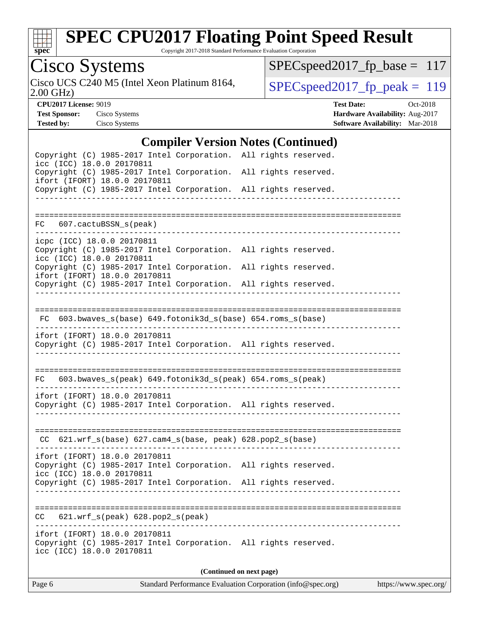

Copyright 2017-2018 Standard Performance Evaluation Corporation

# Cisco Systems<br>Cisco UCS C240 M5 (Intel Xeon Platinum 8164,

2.00 GHz)

[SPECspeed2017\\_fp\\_base =](http://www.spec.org/auto/cpu2017/Docs/result-fields.html#SPECspeed2017fpbase) 117

 $SPEC speed2017_fp\_peak = 119$ 

**[CPU2017 License:](http://www.spec.org/auto/cpu2017/Docs/result-fields.html#CPU2017License)** 9019 **[Test Date:](http://www.spec.org/auto/cpu2017/Docs/result-fields.html#TestDate)** Oct-2018 **[Test Sponsor:](http://www.spec.org/auto/cpu2017/Docs/result-fields.html#TestSponsor)** Cisco Systems **[Hardware Availability:](http://www.spec.org/auto/cpu2017/Docs/result-fields.html#HardwareAvailability)** Aug-2017 **[Tested by:](http://www.spec.org/auto/cpu2017/Docs/result-fields.html#Testedby)** Cisco Systems **[Software Availability:](http://www.spec.org/auto/cpu2017/Docs/result-fields.html#SoftwareAvailability)** Mar-2018

#### **[Compiler Version Notes \(Continued\)](http://www.spec.org/auto/cpu2017/Docs/result-fields.html#CompilerVersionNotes)**

| $\mathbf{C}$ unpher version rotes ( $\mathbf{C}$ ontinueu)                                                                    |                                        |  |  |  |  |  |
|-------------------------------------------------------------------------------------------------------------------------------|----------------------------------------|--|--|--|--|--|
| Copyright (C) 1985-2017 Intel Corporation. All rights reserved.<br>icc (ICC) 18.0.0 20170811                                  |                                        |  |  |  |  |  |
| Copyright (C) 1985-2017 Intel Corporation. All rights reserved.<br>ifort (IFORT) 18.0.0 20170811                              |                                        |  |  |  |  |  |
| Copyright (C) 1985-2017 Intel Corporation. All rights reserved.                                                               |                                        |  |  |  |  |  |
|                                                                                                                               |                                        |  |  |  |  |  |
| FC 607.cactuBSSN_s(peak)                                                                                                      |                                        |  |  |  |  |  |
| icpc (ICC) 18.0.0 20170811                                                                                                    |                                        |  |  |  |  |  |
| Copyright (C) 1985-2017 Intel Corporation. All rights reserved.<br>icc (ICC) 18.0.0 20170811                                  |                                        |  |  |  |  |  |
| Copyright (C) 1985-2017 Intel Corporation. All rights reserved.<br>ifort (IFORT) 18.0.0 20170811                              |                                        |  |  |  |  |  |
| Copyright (C) 1985-2017 Intel Corporation. All rights reserved.                                                               |                                        |  |  |  |  |  |
|                                                                                                                               |                                        |  |  |  |  |  |
| FC 603.bwaves_s(base) 649.fotonik3d_s(base) 654.roms_s(base)                                                                  |                                        |  |  |  |  |  |
| ifort (IFORT) 18.0.0 20170811<br>Copyright (C) 1985-2017 Intel Corporation. All rights reserved.                              |                                        |  |  |  |  |  |
|                                                                                                                               |                                        |  |  |  |  |  |
| 603.bwaves_s(peak) 649.fotonik3d_s(peak) 654.roms_s(peak)<br>FC                                                               |                                        |  |  |  |  |  |
| ifort (IFORT) 18.0.0 20170811                                                                                                 |                                        |  |  |  |  |  |
| Copyright (C) 1985-2017 Intel Corporation. All rights reserved.                                                               |                                        |  |  |  |  |  |
|                                                                                                                               |                                        |  |  |  |  |  |
| $CC$ 621.wrf_s(base) 627.cam4_s(base, peak) 628.pop2_s(base)                                                                  |                                        |  |  |  |  |  |
| ifort (IFORT) 18.0.0 20170811                                                                                                 |                                        |  |  |  |  |  |
| Copyright (C) 1985-2017 Intel Corporation. All rights reserved.<br>icc (ICC) 18.0.0 20170811                                  |                                        |  |  |  |  |  |
| Copyright (C) 1985-2017 Intel Corporation. All rights reserved.                                                               |                                        |  |  |  |  |  |
|                                                                                                                               |                                        |  |  |  |  |  |
| 621.wrf_s(peak) 628.pop2_s(peak)<br>CC                                                                                        | -------------------------------------- |  |  |  |  |  |
| ifort (IFORT) 18.0.0 20170811<br>Copyright (C) 1985-2017 Intel Corporation. All rights reserved.<br>icc (ICC) 18.0.0 20170811 |                                        |  |  |  |  |  |
| (Continued on next page)                                                                                                      |                                        |  |  |  |  |  |
|                                                                                                                               |                                        |  |  |  |  |  |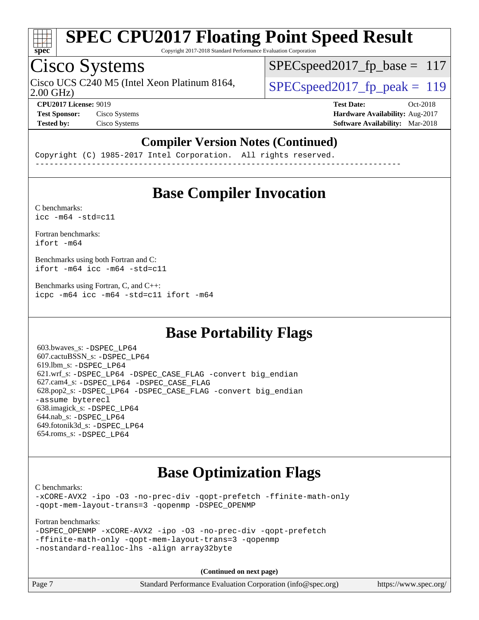

Copyright 2017-2018 Standard Performance Evaluation Corporation

## Cisco Systems

Cisco UCS C240 M5 (Intel Xeon Platinum 8164,  $\vert$  SPECspeed2017 fp\_peak = 119

SPECspeed2017 fp base =  $117$ 

2.00 GHz)

**[CPU2017 License:](http://www.spec.org/auto/cpu2017/Docs/result-fields.html#CPU2017License)** 9019 **[Test Date:](http://www.spec.org/auto/cpu2017/Docs/result-fields.html#TestDate)** Oct-2018 **[Test Sponsor:](http://www.spec.org/auto/cpu2017/Docs/result-fields.html#TestSponsor)** Cisco Systems **Cisco Systems [Hardware Availability:](http://www.spec.org/auto/cpu2017/Docs/result-fields.html#HardwareAvailability)** Aug-2017 **[Tested by:](http://www.spec.org/auto/cpu2017/Docs/result-fields.html#Testedby)** Cisco Systems **[Software Availability:](http://www.spec.org/auto/cpu2017/Docs/result-fields.html#SoftwareAvailability)** Mar-2018

#### **[Compiler Version Notes \(Continued\)](http://www.spec.org/auto/cpu2017/Docs/result-fields.html#CompilerVersionNotes)**

Copyright (C) 1985-2017 Intel Corporation. All rights reserved. ------------------------------------------------------------------------------

### **[Base Compiler Invocation](http://www.spec.org/auto/cpu2017/Docs/result-fields.html#BaseCompilerInvocation)**

[C benchmarks](http://www.spec.org/auto/cpu2017/Docs/result-fields.html#Cbenchmarks):  $\text{icc}$  -m64 -std=c11

[Fortran benchmarks](http://www.spec.org/auto/cpu2017/Docs/result-fields.html#Fortranbenchmarks): [ifort -m64](http://www.spec.org/cpu2017/results/res2018q4/cpu2017-20181113-09763.flags.html#user_FCbase_intel_ifort_64bit_24f2bb282fbaeffd6157abe4f878425411749daecae9a33200eee2bee2fe76f3b89351d69a8130dd5949958ce389cf37ff59a95e7a40d588e8d3a57e0c3fd751)

[Benchmarks using both Fortran and C](http://www.spec.org/auto/cpu2017/Docs/result-fields.html#BenchmarksusingbothFortranandC): [ifort -m64](http://www.spec.org/cpu2017/results/res2018q4/cpu2017-20181113-09763.flags.html#user_CC_FCbase_intel_ifort_64bit_24f2bb282fbaeffd6157abe4f878425411749daecae9a33200eee2bee2fe76f3b89351d69a8130dd5949958ce389cf37ff59a95e7a40d588e8d3a57e0c3fd751) [icc -m64 -std=c11](http://www.spec.org/cpu2017/results/res2018q4/cpu2017-20181113-09763.flags.html#user_CC_FCbase_intel_icc_64bit_c11_33ee0cdaae7deeeab2a9725423ba97205ce30f63b9926c2519791662299b76a0318f32ddfffdc46587804de3178b4f9328c46fa7c2b0cd779d7a61945c91cd35)

[Benchmarks using Fortran, C, and C++:](http://www.spec.org/auto/cpu2017/Docs/result-fields.html#BenchmarksusingFortranCandCXX) [icpc -m64](http://www.spec.org/cpu2017/results/res2018q4/cpu2017-20181113-09763.flags.html#user_CC_CXX_FCbase_intel_icpc_64bit_4ecb2543ae3f1412ef961e0650ca070fec7b7afdcd6ed48761b84423119d1bf6bdf5cad15b44d48e7256388bc77273b966e5eb805aefd121eb22e9299b2ec9d9) [icc -m64 -std=c11](http://www.spec.org/cpu2017/results/res2018q4/cpu2017-20181113-09763.flags.html#user_CC_CXX_FCbase_intel_icc_64bit_c11_33ee0cdaae7deeeab2a9725423ba97205ce30f63b9926c2519791662299b76a0318f32ddfffdc46587804de3178b4f9328c46fa7c2b0cd779d7a61945c91cd35) [ifort -m64](http://www.spec.org/cpu2017/results/res2018q4/cpu2017-20181113-09763.flags.html#user_CC_CXX_FCbase_intel_ifort_64bit_24f2bb282fbaeffd6157abe4f878425411749daecae9a33200eee2bee2fe76f3b89351d69a8130dd5949958ce389cf37ff59a95e7a40d588e8d3a57e0c3fd751)

### **[Base Portability Flags](http://www.spec.org/auto/cpu2017/Docs/result-fields.html#BasePortabilityFlags)**

 603.bwaves\_s: [-DSPEC\\_LP64](http://www.spec.org/cpu2017/results/res2018q4/cpu2017-20181113-09763.flags.html#suite_basePORTABILITY603_bwaves_s_DSPEC_LP64) 607.cactuBSSN\_s: [-DSPEC\\_LP64](http://www.spec.org/cpu2017/results/res2018q4/cpu2017-20181113-09763.flags.html#suite_basePORTABILITY607_cactuBSSN_s_DSPEC_LP64) 619.lbm\_s: [-DSPEC\\_LP64](http://www.spec.org/cpu2017/results/res2018q4/cpu2017-20181113-09763.flags.html#suite_basePORTABILITY619_lbm_s_DSPEC_LP64) 621.wrf\_s: [-DSPEC\\_LP64](http://www.spec.org/cpu2017/results/res2018q4/cpu2017-20181113-09763.flags.html#suite_basePORTABILITY621_wrf_s_DSPEC_LP64) [-DSPEC\\_CASE\\_FLAG](http://www.spec.org/cpu2017/results/res2018q4/cpu2017-20181113-09763.flags.html#b621.wrf_s_baseCPORTABILITY_DSPEC_CASE_FLAG) [-convert big\\_endian](http://www.spec.org/cpu2017/results/res2018q4/cpu2017-20181113-09763.flags.html#user_baseFPORTABILITY621_wrf_s_convert_big_endian_c3194028bc08c63ac5d04de18c48ce6d347e4e562e8892b8bdbdc0214820426deb8554edfa529a3fb25a586e65a3d812c835984020483e7e73212c4d31a38223) 627.cam4\_s: [-DSPEC\\_LP64](http://www.spec.org/cpu2017/results/res2018q4/cpu2017-20181113-09763.flags.html#suite_basePORTABILITY627_cam4_s_DSPEC_LP64) [-DSPEC\\_CASE\\_FLAG](http://www.spec.org/cpu2017/results/res2018q4/cpu2017-20181113-09763.flags.html#b627.cam4_s_baseCPORTABILITY_DSPEC_CASE_FLAG) 628.pop2\_s: [-DSPEC\\_LP64](http://www.spec.org/cpu2017/results/res2018q4/cpu2017-20181113-09763.flags.html#suite_basePORTABILITY628_pop2_s_DSPEC_LP64) [-DSPEC\\_CASE\\_FLAG](http://www.spec.org/cpu2017/results/res2018q4/cpu2017-20181113-09763.flags.html#b628.pop2_s_baseCPORTABILITY_DSPEC_CASE_FLAG) [-convert big\\_endian](http://www.spec.org/cpu2017/results/res2018q4/cpu2017-20181113-09763.flags.html#user_baseFPORTABILITY628_pop2_s_convert_big_endian_c3194028bc08c63ac5d04de18c48ce6d347e4e562e8892b8bdbdc0214820426deb8554edfa529a3fb25a586e65a3d812c835984020483e7e73212c4d31a38223) [-assume byterecl](http://www.spec.org/cpu2017/results/res2018q4/cpu2017-20181113-09763.flags.html#user_baseFPORTABILITY628_pop2_s_assume_byterecl_7e47d18b9513cf18525430bbf0f2177aa9bf368bc7a059c09b2c06a34b53bd3447c950d3f8d6c70e3faf3a05c8557d66a5798b567902e8849adc142926523472) 638.imagick\_s: [-DSPEC\\_LP64](http://www.spec.org/cpu2017/results/res2018q4/cpu2017-20181113-09763.flags.html#suite_basePORTABILITY638_imagick_s_DSPEC_LP64) 644.nab\_s: [-DSPEC\\_LP64](http://www.spec.org/cpu2017/results/res2018q4/cpu2017-20181113-09763.flags.html#suite_basePORTABILITY644_nab_s_DSPEC_LP64) 649.fotonik3d\_s: [-DSPEC\\_LP64](http://www.spec.org/cpu2017/results/res2018q4/cpu2017-20181113-09763.flags.html#suite_basePORTABILITY649_fotonik3d_s_DSPEC_LP64) 654.roms\_s: [-DSPEC\\_LP64](http://www.spec.org/cpu2017/results/res2018q4/cpu2017-20181113-09763.flags.html#suite_basePORTABILITY654_roms_s_DSPEC_LP64)

### **[Base Optimization Flags](http://www.spec.org/auto/cpu2017/Docs/result-fields.html#BaseOptimizationFlags)**

[C benchmarks](http://www.spec.org/auto/cpu2017/Docs/result-fields.html#Cbenchmarks):

[-xCORE-AVX2](http://www.spec.org/cpu2017/results/res2018q4/cpu2017-20181113-09763.flags.html#user_CCbase_f-xCORE-AVX2) [-ipo](http://www.spec.org/cpu2017/results/res2018q4/cpu2017-20181113-09763.flags.html#user_CCbase_f-ipo) [-O3](http://www.spec.org/cpu2017/results/res2018q4/cpu2017-20181113-09763.flags.html#user_CCbase_f-O3) [-no-prec-div](http://www.spec.org/cpu2017/results/res2018q4/cpu2017-20181113-09763.flags.html#user_CCbase_f-no-prec-div) [-qopt-prefetch](http://www.spec.org/cpu2017/results/res2018q4/cpu2017-20181113-09763.flags.html#user_CCbase_f-qopt-prefetch) [-ffinite-math-only](http://www.spec.org/cpu2017/results/res2018q4/cpu2017-20181113-09763.flags.html#user_CCbase_f_finite_math_only_cb91587bd2077682c4b38af759c288ed7c732db004271a9512da14a4f8007909a5f1427ecbf1a0fb78ff2a814402c6114ac565ca162485bbcae155b5e4258871) [-qopt-mem-layout-trans=3](http://www.spec.org/cpu2017/results/res2018q4/cpu2017-20181113-09763.flags.html#user_CCbase_f-qopt-mem-layout-trans_de80db37974c74b1f0e20d883f0b675c88c3b01e9d123adea9b28688d64333345fb62bc4a798493513fdb68f60282f9a726aa07f478b2f7113531aecce732043) [-qopenmp](http://www.spec.org/cpu2017/results/res2018q4/cpu2017-20181113-09763.flags.html#user_CCbase_qopenmp_16be0c44f24f464004c6784a7acb94aca937f053568ce72f94b139a11c7c168634a55f6653758ddd83bcf7b8463e8028bb0b48b77bcddc6b78d5d95bb1df2967) [-DSPEC\\_OPENMP](http://www.spec.org/cpu2017/results/res2018q4/cpu2017-20181113-09763.flags.html#suite_CCbase_DSPEC_OPENMP)

[Fortran benchmarks](http://www.spec.org/auto/cpu2017/Docs/result-fields.html#Fortranbenchmarks):

```
-DSPEC_OPENMP -xCORE-AVX2 -ipo -O3 -no-prec-div -qopt-prefetch
-ffinite-math-only -qopt-mem-layout-trans=3 -qopenmp
-nostandard-realloc-lhs -align array32byte
```
**(Continued on next page)**

| Page 7<br>Standard Performance Evaluation Corporation (info@spec.org)<br>https://www.spec.org/ |
|------------------------------------------------------------------------------------------------|
|------------------------------------------------------------------------------------------------|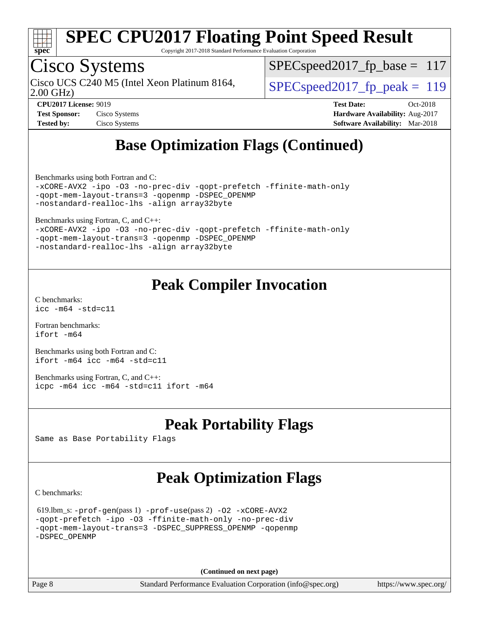

Copyright 2017-2018 Standard Performance Evaluation Corporation

## Cisco Systems

2.00 GHz) Cisco UCS C240 M5 (Intel Xeon Platinum 8164,  $\vert$  SPECspeed2017 fp\_peak = 119

 $SPEC speed2017_fp\_base = 117$ 

**[Test Sponsor:](http://www.spec.org/auto/cpu2017/Docs/result-fields.html#TestSponsor)** Cisco Systems **[Hardware Availability:](http://www.spec.org/auto/cpu2017/Docs/result-fields.html#HardwareAvailability)** Aug-2017 **[Tested by:](http://www.spec.org/auto/cpu2017/Docs/result-fields.html#Testedby)** Cisco Systems **[Software Availability:](http://www.spec.org/auto/cpu2017/Docs/result-fields.html#SoftwareAvailability)** Mar-2018

**[CPU2017 License:](http://www.spec.org/auto/cpu2017/Docs/result-fields.html#CPU2017License)** 9019 **[Test Date:](http://www.spec.org/auto/cpu2017/Docs/result-fields.html#TestDate)** Oct-2018

### **[Base Optimization Flags \(Continued\)](http://www.spec.org/auto/cpu2017/Docs/result-fields.html#BaseOptimizationFlags)**

[Benchmarks using both Fortran and C](http://www.spec.org/auto/cpu2017/Docs/result-fields.html#BenchmarksusingbothFortranandC):

```
-xCORE-AVX2 -ipo -O3 -no-prec-div -qopt-prefetch -ffinite-math-only
-qopt-mem-layout-trans=3 -qopenmp -DSPEC_OPENMP
-nostandard-realloc-lhs -align array32byte
```
[Benchmarks using Fortran, C, and C++:](http://www.spec.org/auto/cpu2017/Docs/result-fields.html#BenchmarksusingFortranCandCXX)

```
-xCORE-AVX2 -ipo -O3 -no-prec-div -qopt-prefetch -ffinite-math-only
-qopt-mem-layout-trans=3 -qopenmp -DSPEC_OPENMP
-nostandard-realloc-lhs -align array32byte
```
### **[Peak Compiler Invocation](http://www.spec.org/auto/cpu2017/Docs/result-fields.html#PeakCompilerInvocation)**

[C benchmarks](http://www.spec.org/auto/cpu2017/Docs/result-fields.html#Cbenchmarks): [icc -m64 -std=c11](http://www.spec.org/cpu2017/results/res2018q4/cpu2017-20181113-09763.flags.html#user_CCpeak_intel_icc_64bit_c11_33ee0cdaae7deeeab2a9725423ba97205ce30f63b9926c2519791662299b76a0318f32ddfffdc46587804de3178b4f9328c46fa7c2b0cd779d7a61945c91cd35)

[Fortran benchmarks](http://www.spec.org/auto/cpu2017/Docs/result-fields.html#Fortranbenchmarks): [ifort -m64](http://www.spec.org/cpu2017/results/res2018q4/cpu2017-20181113-09763.flags.html#user_FCpeak_intel_ifort_64bit_24f2bb282fbaeffd6157abe4f878425411749daecae9a33200eee2bee2fe76f3b89351d69a8130dd5949958ce389cf37ff59a95e7a40d588e8d3a57e0c3fd751)

[Benchmarks using both Fortran and C](http://www.spec.org/auto/cpu2017/Docs/result-fields.html#BenchmarksusingbothFortranandC): [ifort -m64](http://www.spec.org/cpu2017/results/res2018q4/cpu2017-20181113-09763.flags.html#user_CC_FCpeak_intel_ifort_64bit_24f2bb282fbaeffd6157abe4f878425411749daecae9a33200eee2bee2fe76f3b89351d69a8130dd5949958ce389cf37ff59a95e7a40d588e8d3a57e0c3fd751) [icc -m64 -std=c11](http://www.spec.org/cpu2017/results/res2018q4/cpu2017-20181113-09763.flags.html#user_CC_FCpeak_intel_icc_64bit_c11_33ee0cdaae7deeeab2a9725423ba97205ce30f63b9926c2519791662299b76a0318f32ddfffdc46587804de3178b4f9328c46fa7c2b0cd779d7a61945c91cd35)

[Benchmarks using Fortran, C, and C++:](http://www.spec.org/auto/cpu2017/Docs/result-fields.html#BenchmarksusingFortranCandCXX) [icpc -m64](http://www.spec.org/cpu2017/results/res2018q4/cpu2017-20181113-09763.flags.html#user_CC_CXX_FCpeak_intel_icpc_64bit_4ecb2543ae3f1412ef961e0650ca070fec7b7afdcd6ed48761b84423119d1bf6bdf5cad15b44d48e7256388bc77273b966e5eb805aefd121eb22e9299b2ec9d9) [icc -m64 -std=c11](http://www.spec.org/cpu2017/results/res2018q4/cpu2017-20181113-09763.flags.html#user_CC_CXX_FCpeak_intel_icc_64bit_c11_33ee0cdaae7deeeab2a9725423ba97205ce30f63b9926c2519791662299b76a0318f32ddfffdc46587804de3178b4f9328c46fa7c2b0cd779d7a61945c91cd35) [ifort -m64](http://www.spec.org/cpu2017/results/res2018q4/cpu2017-20181113-09763.flags.html#user_CC_CXX_FCpeak_intel_ifort_64bit_24f2bb282fbaeffd6157abe4f878425411749daecae9a33200eee2bee2fe76f3b89351d69a8130dd5949958ce389cf37ff59a95e7a40d588e8d3a57e0c3fd751)

### **[Peak Portability Flags](http://www.spec.org/auto/cpu2017/Docs/result-fields.html#PeakPortabilityFlags)**

Same as Base Portability Flags

### **[Peak Optimization Flags](http://www.spec.org/auto/cpu2017/Docs/result-fields.html#PeakOptimizationFlags)**

[C benchmarks](http://www.spec.org/auto/cpu2017/Docs/result-fields.html#Cbenchmarks):

```
 619.lbm_s: -prof-gen(pass 1) -prof-use(pass 2) -O2 -xCORE-AVX2
-qopt-prefetch -ipo -O3 -ffinite-math-only -no-prec-div
-qopt-mem-layout-trans=3 -DSPEC_SUPPRESS_OPENMP -qopenmp
-DSPEC_OPENMP
```
**(Continued on next page)**

Page 8 Standard Performance Evaluation Corporation [\(info@spec.org\)](mailto:info@spec.org) <https://www.spec.org/>